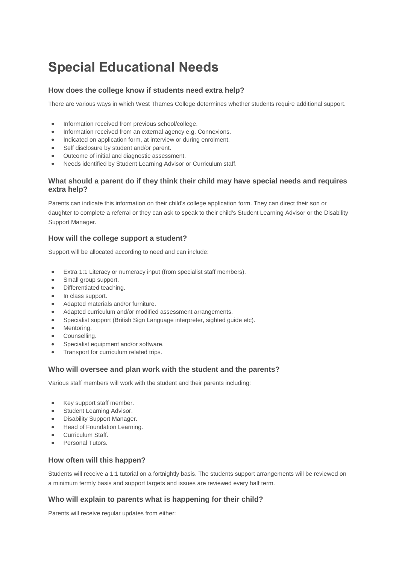# **Special Educational Needs**

## **How does the college know if students need extra help?**

There are various ways in which West Thames College determines whether students require additional support.

- Information received from previous school/college.
- Information received from an external agency e.g. Connexions.
- Indicated on application form, at interview or during enrolment.
- Self disclosure by student and/or parent.
- Outcome of initial and diagnostic assessment.
- Needs identified by Student Learning Advisor or Curriculum staff.

#### **What should a parent do if they think their child may have special needs and requires extra help?**

Parents can indicate this information on their child's college application form. They can direct their son or daughter to complete a referral or they can ask to speak to their child's Student Learning Advisor or the Disability Support Manager.

## **How will the college support a student?**

Support will be allocated according to need and can include:

- Extra 1:1 Literacy or numeracy input (from specialist staff members).
- Small group support.
- Differentiated teaching.
- In class support.
- Adapted materials and/or furniture.
- Adapted curriculum and/or modified assessment arrangements.
- Specialist support (British Sign Language interpreter, sighted guide etc).
- Mentoring.
- Counselling.
- Specialist equipment and/or software.
- Transport for curriculum related trips.

#### **Who will oversee and plan work with the student and the parents?**

Various staff members will work with the student and their parents including:

- Key support staff member.
- Student Learning Advisor.
- Disability Support Manager.
- Head of Foundation Learning.
- Curriculum Staff.
- Personal Tutors.

#### **How often will this happen?**

Students will receive a 1:1 tutorial on a fortnightly basis. The students support arrangements will be reviewed on a minimum termly basis and support targets and issues are reviewed every half term.

#### **Who will explain to parents what is happening for their child?**

Parents will receive regular updates from either: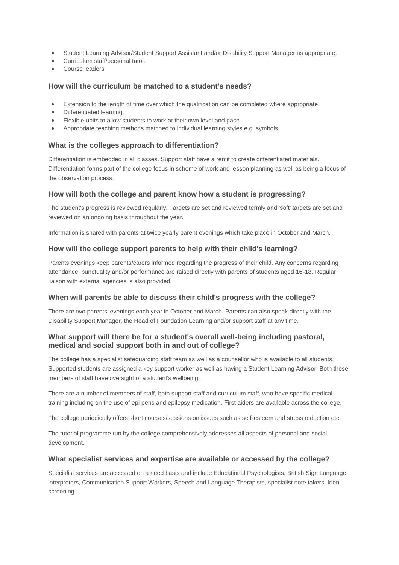- Student Learning Advisor/Student Support Assistant and/or Disability Support Manager as appropriate.
- Curriculum staff/personal tutor.
- Course leaders.

#### **How will the curriculum be matched to a student's needs?**

- Extension to the length of time over which the qualification can be completed where appropriate.
- Differentiated learning.
- Flexible units to allow students to work at their own level and pace.
- Appropriate teaching methods matched to individual learning styles e.g. symbols.

## **What is the colleges approach to differentiation?**

Differentiation is embedded in all classes. Support staff have a remit to create differentiated materials. Differentiation forms part of the college focus in scheme of work and lesson planning as well as being a focus of the observation process.

## **How will both the college and parent know how a student is progressing?**

The student's progress is reviewed regularly. Targets are set and reviewed termly and 'soft' targets are set and reviewed on an ongoing basis throughout the year.

Information is shared with parents at twice yearly parent evenings which take place in October and March.

## **How will the college support parents to help with their child's learning?**

Parents evenings keep parents/carers informed regarding the progress of their child. Any concerns regarding attendance, punctuality and/or performance are raised directly with parents of students aged 16-18. Regular liaison with external agencies is also provided.

#### **When will parents be able to discuss their child's progress with the college?**

There are two parents' evenings each year in October and March. Parents can also speak directly with the Disability Support Manager, the Head of Foundation Learning and/or support staff at any time.

## **What support will there be for a student's overall well-being including pastoral, medical and social support both in and out of college?**

The college has a specialist safeguarding staff team as well as a counsellor who is available to all students. Supported students are assigned a key support worker as well as having a Student Learning Advisor. Both these members of staff have oversight of a student's wellbeing.

There are a number of members of staff, both support staff and curriculum staff, who have specific medical training including on the use of epi pens and epilepsy medication. First aiders are available across the college.

The college periodically offers short courses/sessions on issues such as self-esteem and stress reduction etc.

The tutorial programme run by the college comprehensively addresses all aspects of personal and social development.

#### **What specialist services and expertise are available or accessed by the college?**

Specialist services are accessed on a need basis and include Educational Psychologists, British Sign Language interpreters, Communication Support Workers, Speech and Language Therapists, specialist note takers, Irlen screening.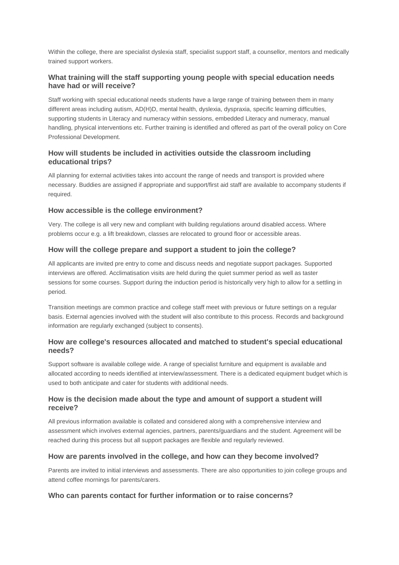Within the college, there are specialist dyslexia staff, specialist support staff, a counsellor, mentors and medically trained support workers.

## **What training will the staff supporting young people with special education needs have had or will receive?**

Staff working with special educational needs students have a large range of training between them in many different areas including autism, AD(H)D, mental health, dyslexia, dyspraxia, specific learning difficulties, supporting students in Literacy and numeracy within sessions, embedded Literacy and numeracy, manual handling, physical interventions etc. Further training is identified and offered as part of the overall policy on Core Professional Development.

## **How will students be included in activities outside the classroom including educational trips?**

All planning for external activities takes into account the range of needs and transport is provided where necessary. Buddies are assigned if appropriate and support/first aid staff are available to accompany students if required.

## **How accessible is the college environment?**

Very. The college is all very new and compliant with building regulations around disabled access. Where problems occur e.g. a lift breakdown, classes are relocated to ground floor or accessible areas.

## **How will the college prepare and support a student to join the college?**

All applicants are invited pre entry to come and discuss needs and negotiate support packages. Supported interviews are offered. Acclimatisation visits are held during the quiet summer period as well as taster sessions for some courses. Support during the induction period is historically very high to allow for a settling in period.

Transition meetings are common practice and college staff meet with previous or future settings on a regular basis. External agencies involved with the student will also contribute to this process. Records and background information are regularly exchanged (subject to consents).

## **How are college's resources allocated and matched to student's special educational needs?**

Support software is available college wide. A range of specialist furniture and equipment is available and allocated according to needs identified at interview/assessment. There is a dedicated equipment budget which is used to both anticipate and cater for students with additional needs.

## **How is the decision made about the type and amount of support a student will receive?**

All previous information available is collated and considered along with a comprehensive interview and assessment which involves external agencies, partners, parents/guardians and the student. Agreement will be reached during this process but all support packages are flexible and regularly reviewed.

## **How are parents involved in the college, and how can they become involved?**

Parents are invited to initial interviews and assessments. There are also opportunities to join college groups and attend coffee mornings for parents/carers.

#### **Who can parents contact for further information or to raise concerns?**